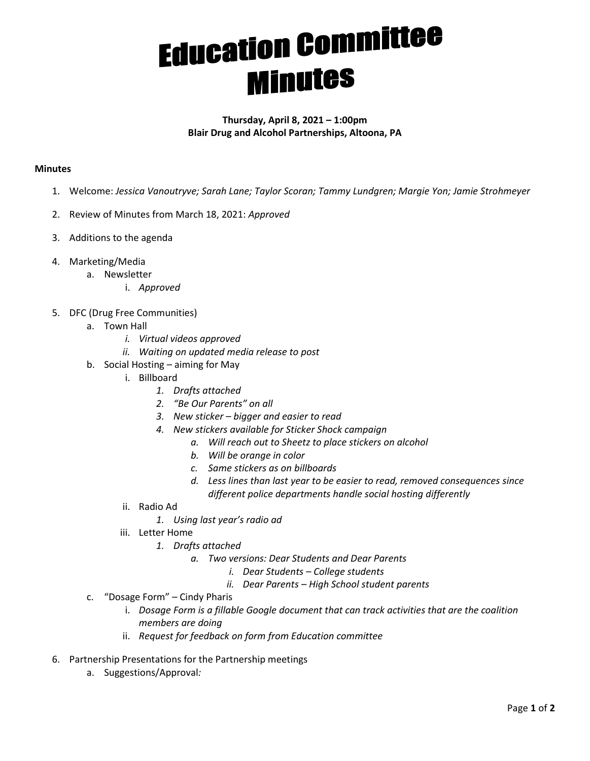## **Education Committee**

## **Thursday, April 8, 2021 – 1:00pm Blair Drug and Alcohol Partnerships, Altoona, PA**

## **Minutes**

- 1. Welcome: *Jessica Vanoutryve; Sarah Lane; Taylor Scoran; Tammy Lundgren; Margie Yon; Jamie Strohmeyer*
- 2. Review of Minutes from March 18, 2021: *Approved*
- 3. Additions to the agenda
- 4. Marketing/Media
	- a. Newsletter
		- i. *Approved*
- 5. DFC (Drug Free Communities)
	- a. Town Hall
		- *i. Virtual videos approved*
		- *ii. Waiting on updated media release to post*
	- b. Social Hosting aiming for May
		- i. Billboard
			- *1. Drafts attached*
			- *2. "Be Our Parents" on all*
			- *3. New sticker bigger and easier to read*
			- *4. New stickers available for Sticker Shock campaign* 
				- *a. Will reach out to Sheetz to place stickers on alcohol*
				- *b. Will be orange in color*
				- *c. Same stickers as on billboards*
				- *d. Less lines than last year to be easier to read, removed consequences since different police departments handle social hosting differently*
		- ii. Radio Ad
			- *1. Using last year's radio ad*
		- iii. Letter Home
			- *1. Drafts attached* 
				- *a. Two versions: Dear Students and Dear Parents* 
					- *i. Dear Students College students*
					- *ii. Dear Parents High School student parents*
	- c. "Dosage Form" Cindy Pharis
		- i. *Dosage Form is a fillable Google document that can track activities that are the coalition members are doing*
		- ii. *Request for feedback on form from Education committee*
- 6. Partnership Presentations for the Partnership meetings
	- a. Suggestions/Approval*:*